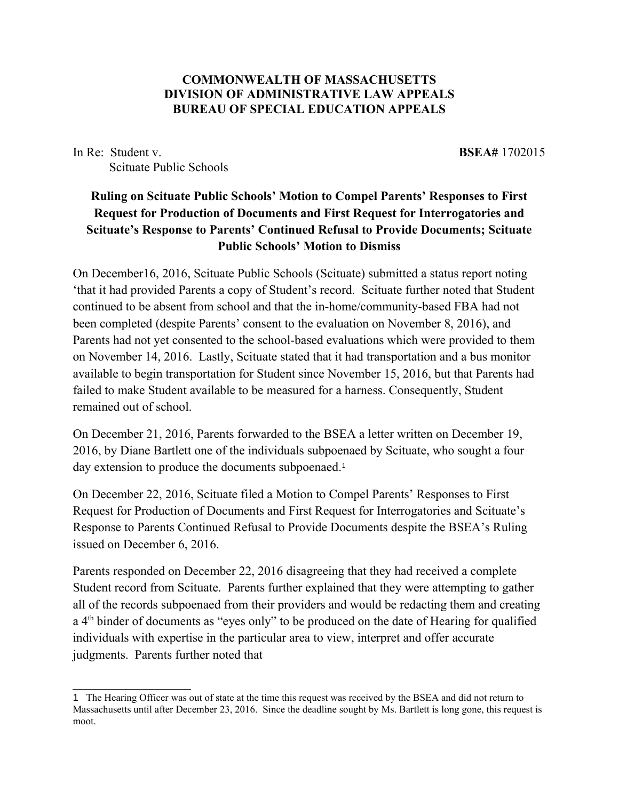## **COMMONWEALTH OF MASSACHUSETTS DIVISION OF ADMINISTRATIVE LAW APPEALS BUREAU OF SPECIAL EDUCATION APPEALS**

In Re: Student v. **BSEA**# 1702015 Scituate Public Schools

## **Ruling on Scituate Public Schools' Motion to Compel Parents' Responses to First Request for Production of Documents and First Request for Interrogatories and Scituate's Response to Parents' Continued Refusal to Provide Documents; Scituate Public Schools' Motion to Dismiss**

On December16, 2016, Scituate Public Schools (Scituate) submitted a status report noting 'that it had provided Parents a copy of Student's record. Scituate further noted that Student continued to be absent from school and that the in-home/community-based FBA had not been completed (despite Parents' consent to the evaluation on November 8, 2016), and Parents had not yet consented to the school-based evaluations which were provided to them on November 14, 2016. Lastly, Scituate stated that it had transportation and a bus monitor available to begin transportation for Student since November 15, 2016, but that Parents had failed to make Student available to be measured for a harness. Consequently, Student remained out of school.

On December 21, 2016, Parents forwarded to the BSEA a letter written on December 19, 2016, by Diane Bartlett one of the individuals subpoenaed by Scituate, who sought a four day extension to produce the documents subpoenaed.<sup>[1](#page-0-0)</sup>

On December 22, 2016, Scituate filed a Motion to Compel Parents' Responses to First Request for Production of Documents and First Request for Interrogatories and Scituate's Response to Parents Continued Refusal to Provide Documents despite the BSEA's Ruling issued on December 6, 2016.

Parents responded on December 22, 2016 disagreeing that they had received a complete Student record from Scituate. Parents further explained that they were attempting to gather all of the records subpoenaed from their providers and would be redacting them and creating a 4<sup>th</sup> binder of documents as "eyes only" to be produced on the date of Hearing for qualified individuals with expertise in the particular area to view, interpret and offer accurate judgments. Parents further noted that

<span id="page-0-0"></span><sup>&</sup>lt;sup>1</sup> The Hearing Officer was out of state at the time this request was received by the BSEA and did not return to Massachusetts until after December 23, 2016. Since the deadline sought by Ms. Bartlett is long gone, this request is moot.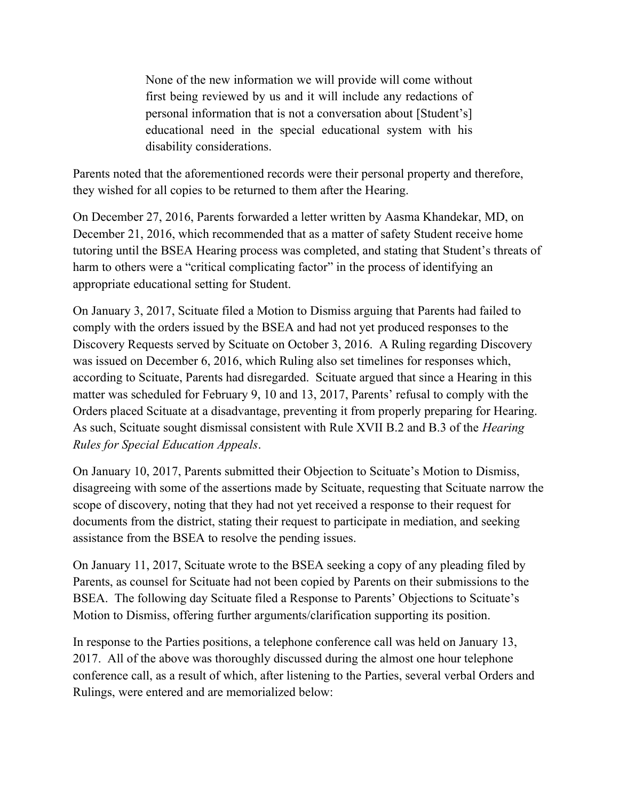None of the new information we will provide will come without first being reviewed by us and it will include any redactions of personal information that is not a conversation about [Student's] educational need in the special educational system with his disability considerations.

Parents noted that the aforementioned records were their personal property and therefore, they wished for all copies to be returned to them after the Hearing.

On December 27, 2016, Parents forwarded a letter written by Aasma Khandekar, MD, on December 21, 2016, which recommended that as a matter of safety Student receive home tutoring until the BSEA Hearing process was completed, and stating that Student's threats of harm to others were a "critical complicating factor" in the process of identifying an appropriate educational setting for Student.

On January 3, 2017, Scituate filed a Motion to Dismiss arguing that Parents had failed to comply with the orders issued by the BSEA and had not yet produced responses to the Discovery Requests served by Scituate on October 3, 2016. A Ruling regarding Discovery was issued on December 6, 2016, which Ruling also set timelines for responses which, according to Scituate, Parents had disregarded. Scituate argued that since a Hearing in this matter was scheduled for February 9, 10 and 13, 2017, Parents' refusal to comply with the Orders placed Scituate at a disadvantage, preventing it from properly preparing for Hearing. As such, Scituate sought dismissal consistent with Rule XVII B.2 and B.3 of the *Hearing Rules for Special Education Appeals*.

On January 10, 2017, Parents submitted their Objection to Scituate's Motion to Dismiss, disagreeing with some of the assertions made by Scituate, requesting that Scituate narrow the scope of discovery, noting that they had not yet received a response to their request for documents from the district, stating their request to participate in mediation, and seeking assistance from the BSEA to resolve the pending issues.

On January 11, 2017, Scituate wrote to the BSEA seeking a copy of any pleading filed by Parents, as counsel for Scituate had not been copied by Parents on their submissions to the BSEA. The following day Scituate filed a Response to Parents' Objections to Scituate's Motion to Dismiss, offering further arguments/clarification supporting its position.

In response to the Parties positions, a telephone conference call was held on January 13, 2017. All of the above was thoroughly discussed during the almost one hour telephone conference call, as a result of which, after listening to the Parties, several verbal Orders and Rulings, were entered and are memorialized below: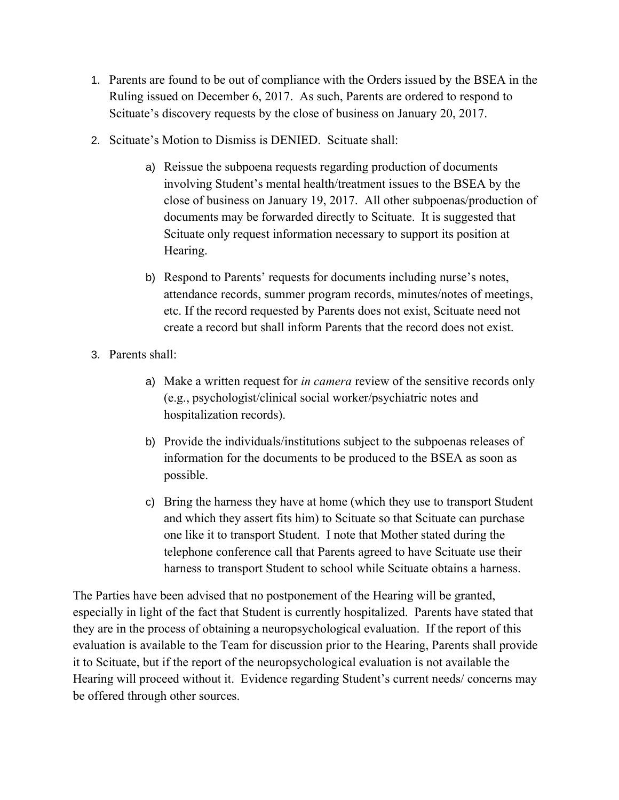- 1. Parents are found to be out of compliance with the Orders issued by the BSEA in the Ruling issued on December 6, 2017. As such, Parents are ordered to respond to Scituate's discovery requests by the close of business on January 20, 2017.
- 2. Scituate's Motion to Dismiss is DENIED. Scituate shall:
	- a) Reissue the subpoena requests regarding production of documents involving Student's mental health/treatment issues to the BSEA by the close of business on January 19, 2017. All other subpoenas/production of documents may be forwarded directly to Scituate. It is suggested that Scituate only request information necessary to support its position at Hearing.
	- b) Respond to Parents' requests for documents including nurse's notes, attendance records, summer program records, minutes/notes of meetings, etc. If the record requested by Parents does not exist, Scituate need not create a record but shall inform Parents that the record does not exist.
- 3. Parents shall:
	- a) Make a written request for *in camera* review of the sensitive records only (e.g., psychologist/clinical social worker/psychiatric notes and hospitalization records).
	- b) Provide the individuals/institutions subject to the subpoenas releases of information for the documents to be produced to the BSEA as soon as possible.
	- c) Bring the harness they have at home (which they use to transport Student and which they assert fits him) to Scituate so that Scituate can purchase one like it to transport Student. I note that Mother stated during the telephone conference call that Parents agreed to have Scituate use their harness to transport Student to school while Scituate obtains a harness.

The Parties have been advised that no postponement of the Hearing will be granted, especially in light of the fact that Student is currently hospitalized. Parents have stated that they are in the process of obtaining a neuropsychological evaluation. If the report of this evaluation is available to the Team for discussion prior to the Hearing, Parents shall provide it to Scituate, but if the report of the neuropsychological evaluation is not available the Hearing will proceed without it. Evidence regarding Student's current needs/ concerns may be offered through other sources.